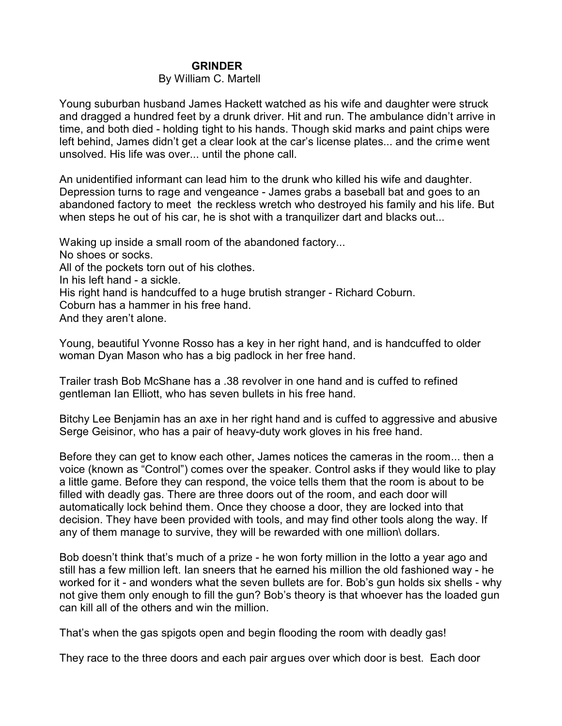## **GRINDER**

## By William C. Martell

Young suburban husband James Hackett watched as his wife and daughter were struck and dragged a hundred feet by a drunk driver. Hit and run. The ambulance didn't arrive in time, and both died - holding tight to his hands. Though skid marks and paint chips were left behind, James didn't get a clear look at the car's license plates... and the crime went unsolved. His life was over... until the phone call.

An unidentified informant can lead him to the drunk who killed his wife and daughter. Depression turns to rage and vengeance - James grabs a baseball bat and goes to an abandoned factory to meet the reckless wretch who destroyed his family and his life. But when steps he out of his car, he is shot with a tranquilizer dart and blacks out...

Waking up inside a small room of the abandoned factory... No shoes or socks. All of the pockets torn out of his clothes. In his left hand - a sickle. His right hand is handcuffed to a huge brutish stranger - Richard Coburn. Coburn has a hammer in his free hand. And they aren't alone.

Young, beautiful Yvonne Rosso has a key in her right hand, and is handcuffed to older woman Dyan Mason who has a big padlock in her free hand.

Trailer trash Bob McShane has a .38 revolver in one hand and is cuffed to refined gentleman Ian Elliott, who has seven bullets in his free hand.

Bitchy Lee Benjamin has an axe in her right hand and is cuffed to aggressive and abusive Serge Geisinor, who has a pair of heavy-duty work gloves in his free hand.

Before they can get to know each other, James notices the cameras in the room... then a voice (known as "Control") comes over the speaker. Control asks if they would like to play a little game. Before they can respond, the voice tells them that the room is about to be filled with deadly gas. There are three doors out of the room, and each door will automatically lock behind them. Once they choose a door, they are locked into that decision. They have been provided with tools, and may find other tools along the way. If any of them manage to survive, they will be rewarded with one million\ dollars.

Bob doesn't think that's much of a prize - he won forty million in the lotto a year ago and still has a few million left. Ian sneers that he earned his million the old fashioned way - he worked for it - and wonders what the seven bullets are for. Bob's gun holds six shells - why not give them only enough to fill the gun? Bob's theory is that whoever has the loaded gun can kill all of the others and win the million.

That's when the gas spigots open and begin flooding the room with deadly gas!

They race to the three doors and each pair argues over which door is best. Each door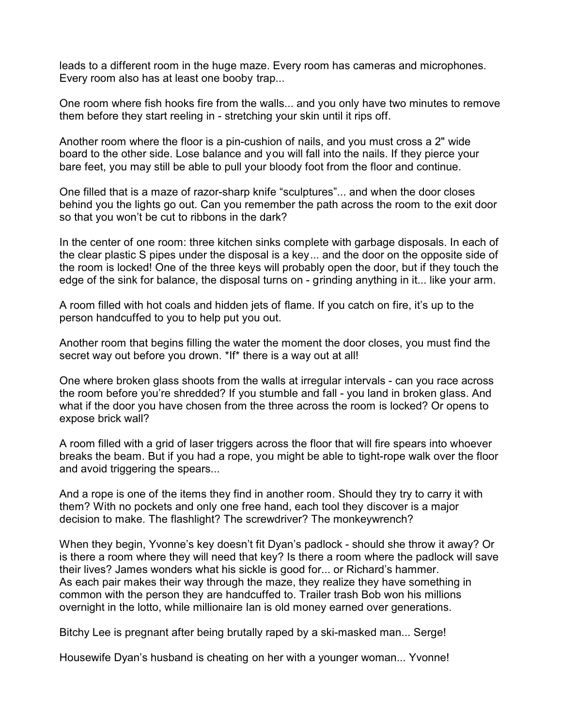leads to a different room in the huge maze. Every room has cameras and microphones. Every room also has at least one booby trap...

One room where fish hooks fire from the walls... and you only have two minutes to remove them before they start reeling in - stretching your skin until it rips off.

Another room where the floor is a pin-cushion of nails, and you must cross a 2" wide board to the other side. Lose balance and you will fall into the nails. If they pierce your bare feet, you may still be able to pull your bloody foot from the floor and continue.

One filled that is a maze of razor-sharp knife "sculptures"... and when the door closes behind you the lights go out. Can you remember the path across the room to the exit door so that you won't be cut to ribbons in the dark?

In the center of one room: three kitchen sinks complete with garbage disposals. In each of the clear plastic S pipes under the disposal is a key... and the door on the opposite side of the room is locked! One of the three keys will probably open the door, but if they touch the edge of the sink for balance, the disposal turns on - grinding anything in it... like your arm.

A room filled with hot coals and hidden jets of flame. If you catch on fire, it's up to the person handcuffed to you to help put you out.

Another room that begins filling the water the moment the door closes, you must find the secret way out before you drown. \*If\* there is a way out at all!

One where broken glass shoots from the walls at irregular intervals - can you race across the room before you're shredded? If you stumble and fall - you land in broken glass. And what if the door you have chosen from the three across the room is locked? Or opens to expose brick wall?

A room filled with a grid of laser triggers across the floor that will fire spears into whoever breaks the beam. But if you had a rope, you might be able to tight-rope walk over the floor and avoid triggering the spears...

And a rope is one of the items they find in another room. Should they try to carry it with them? With no pockets and only one free hand, each tool they discover is a major decision to make. The flashlight? The screwdriver? The monkeywrench?

When they begin, Yvonne's key doesn't fit Dyan's padlock - should she throw it away? Or is there a room where they will need that key? Is there a room where the padlock will save their lives? James wonders what his sickle is good for... or Richard's hammer. As each pair makes their way through the maze, they realize they have something in common with the person they are handcuffed to. Trailer trash Bob won his millions overnight in the lotto, while millionaire Ian is old money earned over generations.

Bitchy Lee is pregnant after being brutally raped by a ski-masked man... Serge!

Housewife Dyan's husband is cheating on her with a younger woman... Yvonne!